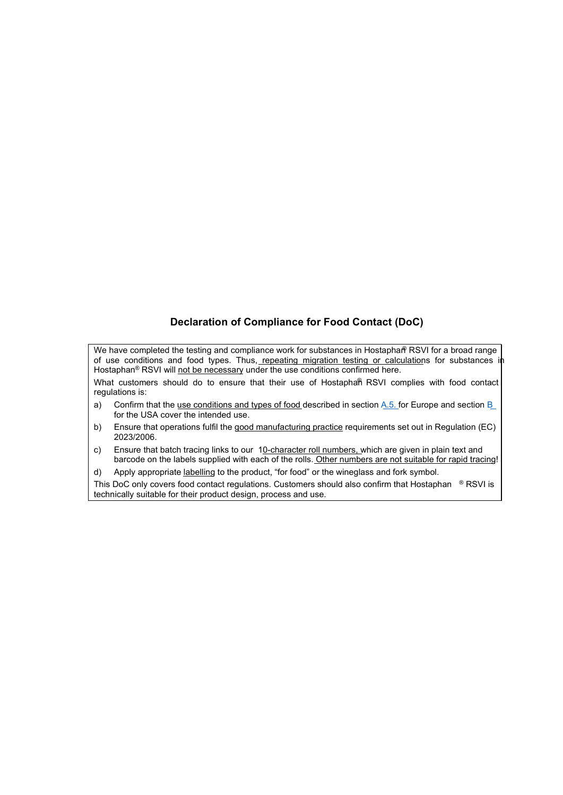# **Declaration of Compliance for Food Contact (DoC)**

We have completed the testing and compliance work for substances in Hostaphar® RSVI for a broad range of use conditions and food types. Thus, repeating migration testing or calculations for substances in Hostaphan<sup>®</sup> RSVI will not be necessary under the use conditions confirmed here.

What customers should do to ensure that their use of Hostaphan RSVI complies with food contact regulations is:

- a) Confirm that the use conditions and types of food described in section A.5. for Europe and section B for the USA cover the intended use.
- b) Ensure that operations fulfil the good manufacturing practice requirements set out in Regulation (EC) 2023/2006.
- c) Ensure that batch tracing links to our 10-character roll numbers, which are given in plain text and barcode on the labels supplied with each of the rolls. Other numbers are not suitable for rapid tracing!
- d) Apply appropriate labelling to the product, "for food" or the wineglass and fork symbol.

This DoC only covers food contact regulations. Customers should also confirm that Hostaphan <sup>®</sup> RSVI is technically suitable for their product design, process and use.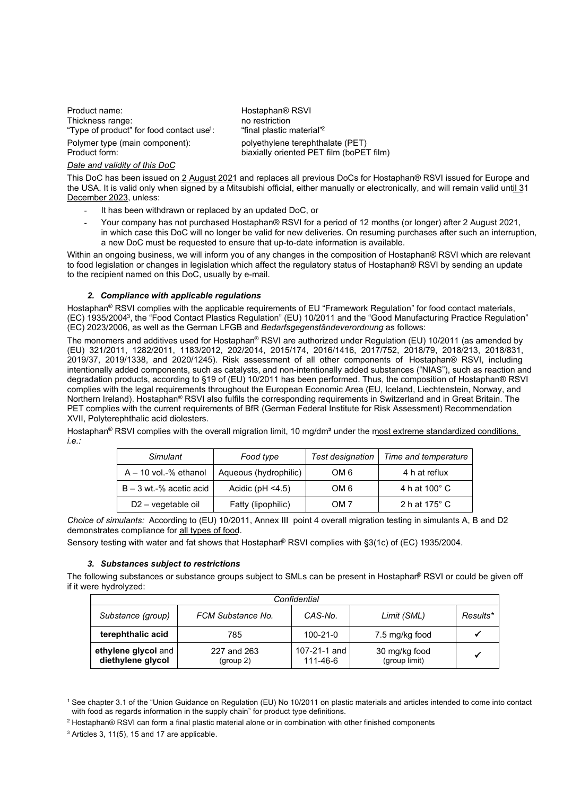Product name: <br>
Thickness range: Thickness range: Thickness range: Thickness range: Thickness range: This metallic metallic metallic metallic metallic metallic metallic metallic metallic metallic metallic metallic metallic Thickness range: "Type of product" for food contact use<sup>1</sup>:

Polymer type (main component): polyethylene terephthalate (PET)<br>Product form: polyethylene terephthalate (PET)

#### *Date and validity of this DoC*

: "final plastic material"<sup>2</sup> biaxially oriented PET film (boPET film)

This DoC has been issued on 2 August 2021 and replaces all previous DoCs for Hostaphan® RSVI issued for Europe and the USA. It is valid only when signed by a Mitsubishi official, either manually or electronically, and will remain valid until 31 December 2023, unless:

- It has been withdrawn or replaced by an updated DoC, or
- Your company has not purchased Hostaphan® RSVI for a period of 12 months (or longer) after 2 August 2021, in which case this DoC will no longer be valid for new deliveries. On resuming purchases after such an interruption, a new DoC must be requested to ensure that up-to-date information is available.

Within an ongoing business, we will inform you of any changes in the composition of Hostaphan® RSVI which are relevant to food legislation or changes in legislation which affect the regulatory status of Hostaphan® RSVI by sending an update to the recipient named on this DoC, usually by e-mail.

#### *2. Compliance with applicable regulations*

Hostaphan<sup>®</sup> RSVI complies with the applicable requirements of EU "Framework Requlation" for food contact materials, (EC) 1935/2004<sup>3</sup> , the "Food Contact Plastics Regulation" (EU) 10/2011 and the "Good Manufacturing Practice Regulation" (EC) 2023/2006, as well as the German LFGB and *Bedarfsgegenständeverordnung* as follows:

The monomers and additives used for Hostaphan® RSVI are authorized under Regulation (EU) 10/2011 (as amended by (EU) 321/2011, 1282/2011, 1183/2012, 202/2014, 2015/174, 2016/1416, 2017/752, 2018/79, 2018/213, 2018/831, 2019/37, 2019/1338, and 2020/1245). Risk assessment of all other components of Hostaphan® RSVI, including intentionally added components, such as catalysts, and non-intentionally added substances ("NIAS"), such as reaction and degradation products, according to §19 of (EU) 10/2011 has been performed. Thus, the composition of Hostaphan® RSVI complies with the legal requirements throughout the European Economic Area (EU, Iceland, Liechtenstein, Norway, and Northern Ireland). Hostaphan® RSVI also fulfils the corresponding requirements in Switzerland and in Great Britain. The PET complies with the current requirements of BfR (German Federal Institute for Risk Assessment) Recommendation XVII, Polyterephthalic acid diolesters.

Hostaphan® RSVI complies with the overall migration limit, 10 mg/dm² under the most extreme standardized conditions*, i.e.:*

| Simulant                       | Food type             | Test designation | Time and temperature |
|--------------------------------|-----------------------|------------------|----------------------|
| $A - 10$ vol.-% ethanol        | Aqueous (hydrophilic) | OM 6             | 4 h at reflux        |
| $B - 3$ wt.-% acetic acid      | Acidic ( $pH < 4.5$ ) | OM 6             | 4 h at 100° C        |
| D <sub>2</sub> – vegetable oil | Fatty (lipophilic)    | OM 7             | 2 h at 175° C        |

*Choice of simulants:* According to (EU) 10/2011, Annex III point 4 overall migration testing in simulants A, B and D2 demonstrates compliance for all types of food.

Sensory testing with water and fat shows that Hostaphan® RSVI complies with §3(1c) of (EC) 1935/2004.

#### *3. Substances subject to restrictions*

The following substances or substance groups subject to SMLs can be present in Hostaphan® RSVI or could be given off if it were hydrolyzed:

| Confidential                             |                          |                            |                                |          |  |  |
|------------------------------------------|--------------------------|----------------------------|--------------------------------|----------|--|--|
| Substance (group)                        | FCM Substance No.        | CAS-No.                    | Limit (SML)                    | Results* |  |  |
| terephthalic acid                        | 785                      | $100 - 21 - 0$             | 7.5 mg/kg food                 |          |  |  |
| ethylene glycol and<br>diethylene glycol | 227 and 263<br>(group 2) | 107-21-1 and I<br>111-46-6 | 30 mg/kg food<br>(group limit) |          |  |  |

<sup>1</sup> See chapter 3.1 of the "Union Guidance on Regulation (EU) No 10/2011 on plastic materials and articles intended to come into contact with food as regards information in the supply chain" for product type definitions.

<sup>3</sup> Articles 3, 11(5), 15 and 17 are applicable.

<sup>2</sup> Hostaphan® RSVI can form a final plastic material alone or in combination with other finished components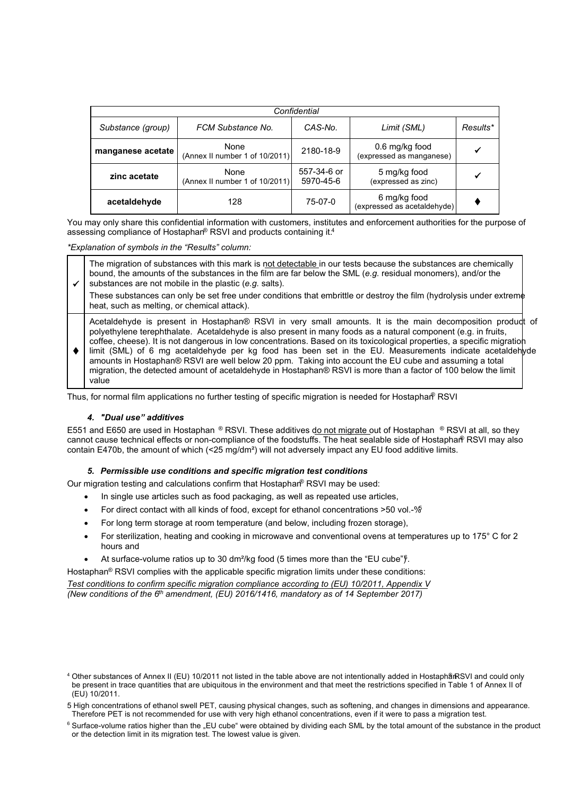| Confidential      |                                        |                          |                                             |          |  |  |
|-------------------|----------------------------------------|--------------------------|---------------------------------------------|----------|--|--|
| Substance (group) | FCM Substance No.                      | CAS-No.                  | Limit (SML)                                 | Results* |  |  |
| manganese acetate | None<br>(Annex II number 1 of 10/2011) | 2180-18-9                | 0.6 mg/kg food<br>(expressed as manganese)  |          |  |  |
| zinc acetate      | None<br>(Annex II number 1 of 10/2011) | 557-34-6 or<br>5970-45-6 | 5 mg/kg food<br>(expressed as zinc)         |          |  |  |
| acetaldehyde      | 128                                    | 75-07-0                  | 6 mg/kg food<br>(expressed as acetaldehyde) |          |  |  |

You may only share this confidential information with customers, institutes and enforcement authorities for the purpose of assessing compliance of Hostaphan® RSVI and products containing it.<sup>4</sup>

*\*Explanation of symbols in the "Results" column:*

✓ The migration of substances with this mark is not detectable in our tests because the substances are chemically bound, the amounts of the substances in the film are far below the SML (*e.g.* residual monomers), and/or the substances are not mobile in the plastic (*e.g.* salts).

These substances can only be set free under conditions that embrittle or destroy the film (hydrolysis under extreme heat, such as melting, or chemical attack).

Acetaldehyde is present in Hostaphan® RSVI in very small amounts. It is the main decomposition product of polyethylene terephthalate. Acetaldehyde is also present in many foods as a natural component (e.g. in fruits, coffee, cheese). It is not dangerous in low concentrations. Based on its toxicological properties, a specific migration

 $\bullet$  | limit (SML) of 6 mg acetaldehyde per kg food has been set in the EU. Measurements indicate acetaldehyde amounts in Hostaphan® RSVI are well below 20 ppm. Taking into account the EU cube and assuming a total migration, the detected amount of acetaldehyde in Hostaphan® RSVI is more than a factor of 100 below the limit value

Thus, for normal film applications no further testing of specific migration is needed for Hostaphan® RSVI

## *4. "Dual use" additives*

E551 and E650 are used in Hostaphan ® RSVI. These additives do not migrate out of Hostaphan ® RSVI at all, so they cannot cause technical effects or non-compliance of the foodstuffs. The heat sealable side of Hostaphan® RSVI may also contain E470b, the amount of which (<25 mg/dm<sup>2</sup>) will not adversely impact any EU food additive limits.

## *5. Permissible use conditions and specific migration test conditions*

Our migration testing and calculations confirm that Hostaphan® RSVI may be used:

- In single use articles such as food packaging, as well as repeated use articles,
- For direct contact with all kinds of food, except for ethanol concentrations >50 vol.-%
- For long term storage at room temperature (and below, including frozen storage),
- For sterilization, heating and cooking in microwave and conventional ovens at temperatures up to 175° C for 2 hours and
- At surface-volume ratios up to 30 dm<sup>2</sup>/kg food (5 times more than the "EU cube" $\hat{J}$ .

Hostaphan<sup>®</sup> RSVI complies with the applicable specific migration limits under these conditions:

*Test conditions to confirm specific migration compliance according to (EU) 10/2011, Appendix V (New conditions of the 6th amendment, (EU) 2016/1416, mandatory as of 14 September 2017)* 

<sup>&</sup>lt;sup>4</sup> Other substances of Annex II (EU) 10/2011 not listed in the table above are not intentionally added in Hostaphå RSVI and could only be present in trace quantities that are ubiquitous in the environment and that meet the restrictions specified in Table 1 of Annex II of (EU) 10/2011.

<sup>5</sup> High concentrations of ethanol swell PET, causing physical changes, such as softening, and changes in dimensions and appearance. Therefore PET is not recommended for use with very high ethanol concentrations, even if it were to pass a migration test.

 $6$  Surface-volume ratios higher than the "EU cube" were obtained by dividing each SML by the total amount of the substance in the product or the detection limit in its migration test. The lowest value is given.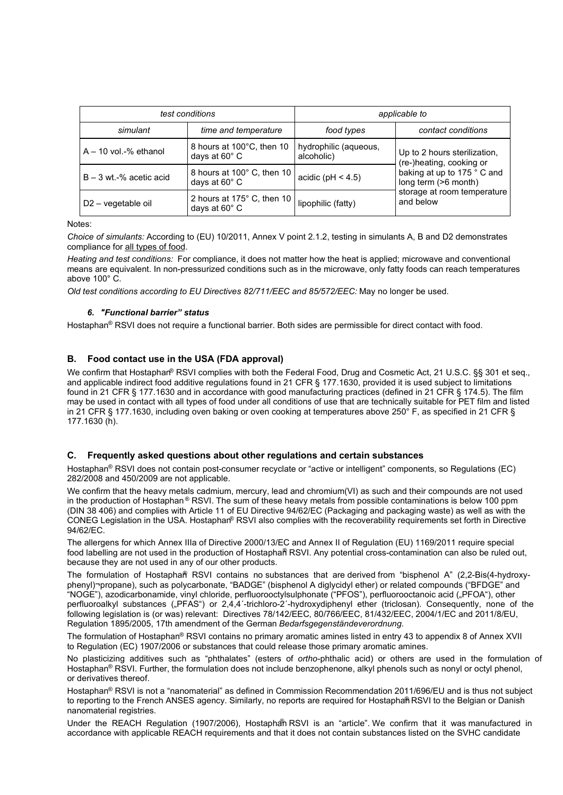| test conditions           |                                             | applicable to                       |                                                                                                                                                             |  |
|---------------------------|---------------------------------------------|-------------------------------------|-------------------------------------------------------------------------------------------------------------------------------------------------------------|--|
| simulant                  | time and temperature                        | food types                          | contact conditions                                                                                                                                          |  |
| $A - 10$ vol.-% ethanol   | 8 hours at 100°C, then 10<br>days at 60° C  | hydrophilic (aqueous,<br>alcoholic) | Up to 2 hours sterilization,<br>(re-)heating, cooking or<br>baking at up to 175 ° C and<br>long term (>6 month)<br>storage at room temperature<br>and below |  |
| $B - 3$ wt.-% acetic acid | 8 hours at 100° C, then 10<br>days at 60° C | acidic ( $pH < 4.5$ )               |                                                                                                                                                             |  |
| D2 - vegetable oil        | 2 hours at 175° C, then 10<br>days at 60° C | lipophilic (fatty)                  |                                                                                                                                                             |  |

Notes:

*Choice of simulants:* According to (EU) 10/2011, Annex V point 2.1.2, testing in simulants A, B and D2 demonstrates compliance for all types of food.

*Heating and test conditions:* For compliance, it does not matter how the heat is applied; microwave and conventional means are equivalent. In non-pressurized conditions such as in the microwave, only fatty foods can reach temperatures above 100° C.

*Old test conditions according to EU Directives 82/711/EEC and 85/572/EEC:* May no longer be used.

### *6. "Functional barrier" status*

Hostaphan® RSVI does not require a functional barrier. Both sides are permissible for direct contact with food.

## **B. Food contact use in the USA (FDA approval)**

We confirm that Hostaphan® RSVI complies with both the Federal Food, Drug and Cosmetic Act, 21 U.S.C. §§ 301 et seq., and applicable indirect food additive regulations found in 21 CFR § 177.1630, provided it is used subject to limitations found in 21 CFR § 177.1630 and in accordance with good manufacturing practices (defined in 21 CFR § 174.5). The film may be used in contact with all types of food under all conditions of use that are technically suitable for PET film and listed in 21 CFR § 177.1630, including oven baking or oven cooking at temperatures above 250° F, as specified in 21 CFR § 177.1630 (h).

#### **C. Frequently asked questions about other regulations and certain substances**

Hostaphan® RSVI does not contain post-consumer recyclate or "active or intelligent" components, so Regulations (EC) 282/2008 and 450/2009 are not applicable.

We confirm that the heavy metals cadmium, mercury, lead and chromium(VI) as such and their compounds are not used in the production of Hostaphan<sup>®</sup> RSVI. The sum of these heavy metals from possible contaminations is below 100 ppm (DIN 38 406) and complies with Article 11 of EU Directive 94/62/EC (Packaging and packaging waste) as well as with the CONEG Legislation in the USA. Hostaphan® RSVI also complies with the recoverability requirements set forth in Directive 94/62/EC.

The allergens for which Annex IIIa of Directive 2000/13/EC and Annex II of Regulation (EU) 1169/2011 require special food labelling are not used in the production of Hostaphan® RSVI. Any potential cross-contamination can also be ruled out, because they are not used in any of our other products.

The formulation of Hostapha $\beta$  RSVI contains no substances that are derived from "bisphenol A" (2.2-Bis(4-hydroxyphenyl)¬propane), such as polycarbonate, "BADGE" (bisphenol A diglycidyl ether) or related compounds ("BFDGE" and "NOGE"), azodicarbonamide, vinyl chloride, perfluorooctylsulphonate ("PFOS"), perfluorooctanoic acid ("PFOA"), other perfluoroalkyl substances ("PFAS") or 2,4,4<sup>-</sup>trichloro-2<sup>-</sup>-hydroxydiphenyl ether (triclosan). Consequently, none of the following legislation is (or was) relevant: Directives 78/142/EEC, 80/766/EEC, 81/432/EEC, 2004/1/EC and 2011/8/EU, Regulation 1895/2005, 17th amendment of the German *Bedarfsgegenständeverordnung*.

The formulation of Hostaphan<sup>®</sup> RSVI contains no primary aromatic amines listed in entry 43 to appendix 8 of Annex XVII to Regulation (EC) 1907/2006 or substances that could release those primary aromatic amines.

No plasticizing additives such as "phthalates" (esters of *ortho*-phthalic acid) or others are used in the formulation of Hostaphan<sup>®</sup> RSVI. Further, the formulation does not include benzophenone, alkyl phenols such as nonyl or octyl phenol, or derivatives thereof.

Hostaphan® RSVI is not a "nanomaterial" as defined in Commission Recommendation 2011/696/EU and is thus not subject to reporting to the French ANSES agency. Similarly, no reports are required for Hostaphan RSVI to the Belgian or Danish nanomaterial registries.

Under the REACH Regulation (1907/2006), Hostaphan RSVI is an "article". We confirm that it was manufactured in accordance with applicable REACH requirements and that it does not contain substances listed on the SVHC candidate